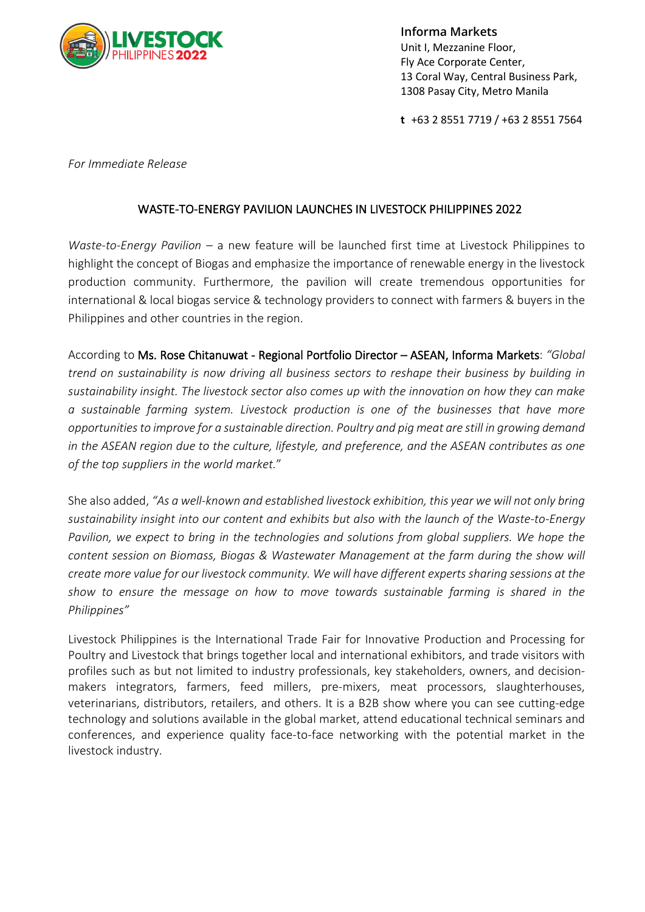

**Informa Markets** Unit I, Mezzanine Floor, Fly Ace Corporate Center, 13 Coral Way, Central Business Park, 1308 Pasay City, Metro Manila

**t** +63 2 8551 7719 / +63 2 8551 7564

*For Immediate Release*

## WASTE-TO-ENERGY PAVILION LAUNCHES IN LIVESTOCK PHILIPPINES 2022

*Waste-to-Energy Pavilion* – a new feature will be launched first time at Livestock Philippines to highlight the concept of Biogas and emphasize the importance of renewable energy in the livestock production community. Furthermore, the pavilion will create tremendous opportunities for international & local biogas service & technology providers to connect with farmers & buyers in the Philippines and other countries in the region.

According to Ms. Rose Chitanuwat - Regional Portfolio Director – ASEAN, Informa Markets: *"Global trend on sustainability is now driving all business sectors to reshape their business by building in sustainability insight. The livestock sector also comes up with the innovation on how they can make a sustainable farming system. Livestock production is one of the businesses that have more opportunities to improve for a sustainable direction. Poultry and pig meat are still in growing demand in the ASEAN region due to the culture, lifestyle, and preference, and the ASEAN contributes as one of the top suppliers in the world market.*"

She also added, *"As a well-known and established livestock exhibition, this year we will not only bring sustainability insight into our content and exhibits but also with the launch of the Waste-to-Energy Pavilion, we expect to bring in the technologies and solutions from global suppliers. We hope the content session on Biomass, Biogas & Wastewater Management at the farm during the show will create more value for our livestock community. We will have different experts sharing sessions at the show to ensure the message on how to move towards sustainable farming is shared in the Philippines"*

Livestock Philippines is the International Trade Fair for Innovative Production and Processing for Poultry and Livestock that brings together local and international exhibitors, and trade visitors with profiles such as but not limited to industry professionals, key stakeholders, owners, and decisionmakers integrators, farmers, feed millers, pre-mixers, meat processors, slaughterhouses, veterinarians, distributors, retailers, and others. It is a B2B show where you can see cutting-edge technology and solutions available in the global market, attend educational technical seminars and conferences, and experience quality face-to-face networking with the potential market in the livestock industry.